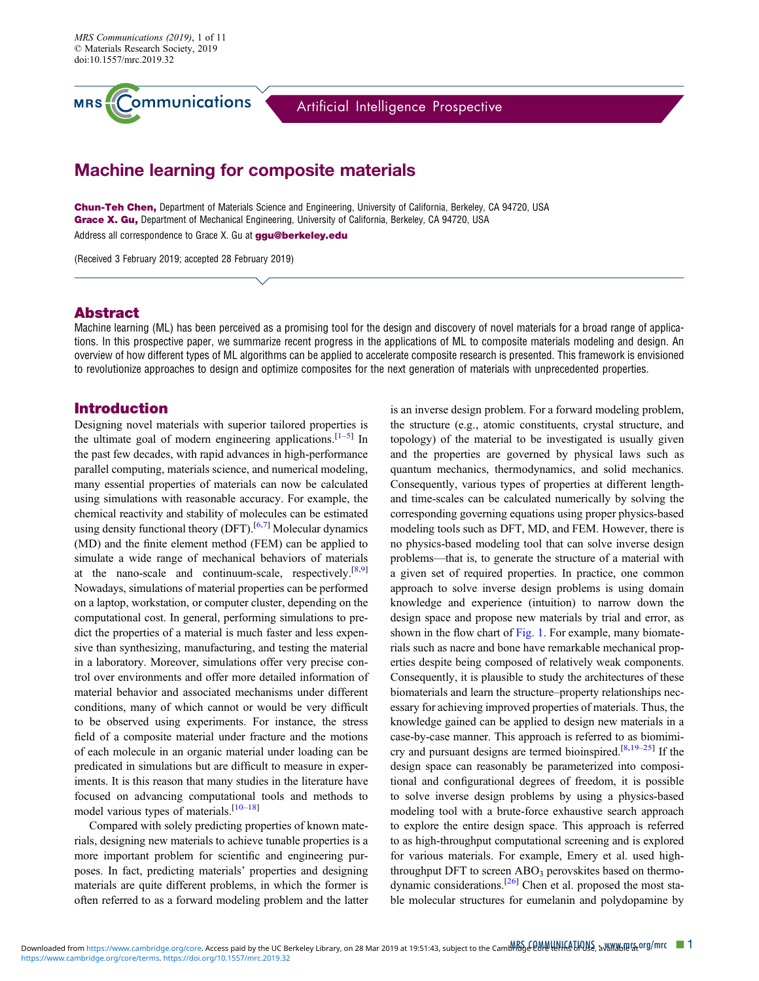

Artificial Intelligence Prospective

# Machine learning for composite materials

Chun-Teh Chen, Department of Materials Science and Engineering, University of California, Berkeley, CA 94720, USA Grace X. Gu, Department of Mechanical Engineering, University of California, Berkeley, CA 94720, USA

Address all correspondence to Grace X. Gu at [ggu@berkeley.edu](mailto:ggu@berkeley.edu)

(Received 3 February 2019; accepted 28 February 2019)

### Abstract

Machine learning (ML) has been perceived as a promising tool for the design and discovery of novel materials for a broad range of applications. In this prospective paper, we summarize recent progress in the applications of ML to composite materials modeling and design. An overview of how different types of ML algorithms can be applied to accelerate composite research is presented. This framework is envisioned to revolutionize approaches to design and optimize composites for the next generation of materials with unprecedented properties.

### Introduction

Designing novel materials with superior tailored properties is the ultimate goal of modern engineering applications.  $[1-5]$  $[1-5]$  $[1-5]$  $[1-5]$  In the past few decades, with rapid advances in high-performance parallel computing, materials science, and numerical modeling, many essential properties of materials can now be calculated using simulations with reasonable accuracy. For example, the chemical reactivity and stability of molecules can be estimated using density functional theory (DFT).<sup>[[6,7\]](#page-8-0)</sup> Molecular dynamics (MD) and the finite element method (FEM) can be applied to simulate a wide range of mechanical behaviors of materials at the nano-scale and continuum-scale, respectively.<sup>[[8,9\]](#page-8-0)</sup> Nowadays, simulations of material properties can be performed on a laptop, workstation, or computer cluster, depending on the computational cost. In general, performing simulations to predict the properties of a material is much faster and less expensive than synthesizing, manufacturing, and testing the material in a laboratory. Moreover, simulations offer very precise control over environments and offer more detailed information of material behavior and associated mechanisms under different conditions, many of which cannot or would be very difficult to be observed using experiments. For instance, the stress field of a composite material under fracture and the motions of each molecule in an organic material under loading can be predicated in simulations but are difficult to measure in experiments. It is this reason that many studies in the literature have focused on advancing computational tools and methods to model various types of materials. $[10-18]$  $[10-18]$  $[10-18]$  $[10-18]$ 

Compared with solely predicting properties of known materials, designing new materials to achieve tunable properties is a more important problem for scientific and engineering purposes. In fact, predicting materials' properties and designing materials are quite different problems, in which the former is often referred to as a forward modeling problem and the latter is an inverse design problem. For a forward modeling problem, the structure (e.g., atomic constituents, crystal structure, and topology) of the material to be investigated is usually given and the properties are governed by physical laws such as quantum mechanics, thermodynamics, and solid mechanics. Consequently, various types of properties at different lengthand time-scales can be calculated numerically by solving the corresponding governing equations using proper physics-based modeling tools such as DFT, MD, and FEM. However, there is no physics-based modeling tool that can solve inverse design problems—that is, to generate the structure of a material with a given set of required properties. In practice, one common approach to solve inverse design problems is using domain knowledge and experience (intuition) to narrow down the design space and propose new materials by trial and error, as shown in the flow chart of [Fig. 1.](#page-1-0) For example, many biomaterials such as nacre and bone have remarkable mechanical properties despite being composed of relatively weak components. Consequently, it is plausible to study the architectures of these biomaterials and learn the structure–property relationships necessary for achieving improved properties of materials. Thus, the knowledge gained can be applied to design new materials in a case-by-case manner. This approach is referred to as biomimi-cry and pursuant designs are termed bioinspired.<sup>[\[8,19](#page-8-0)–[25](#page-8-0)]</sup> If the design space can reasonably be parameterized into compositional and configurational degrees of freedom, it is possible to solve inverse design problems by using a physics-based modeling tool with a brute-force exhaustive search approach to explore the entire design space. This approach is referred to as high-throughput computational screening and is explored for various materials. For example, Emery et al. used highthroughput DFT to screen  $ABO<sub>3</sub>$  perovskites based on thermodynamic considerations.[\[26](#page-8-0)] Chen et al. proposed the most stable molecular structures for eumelanin and polydopamine by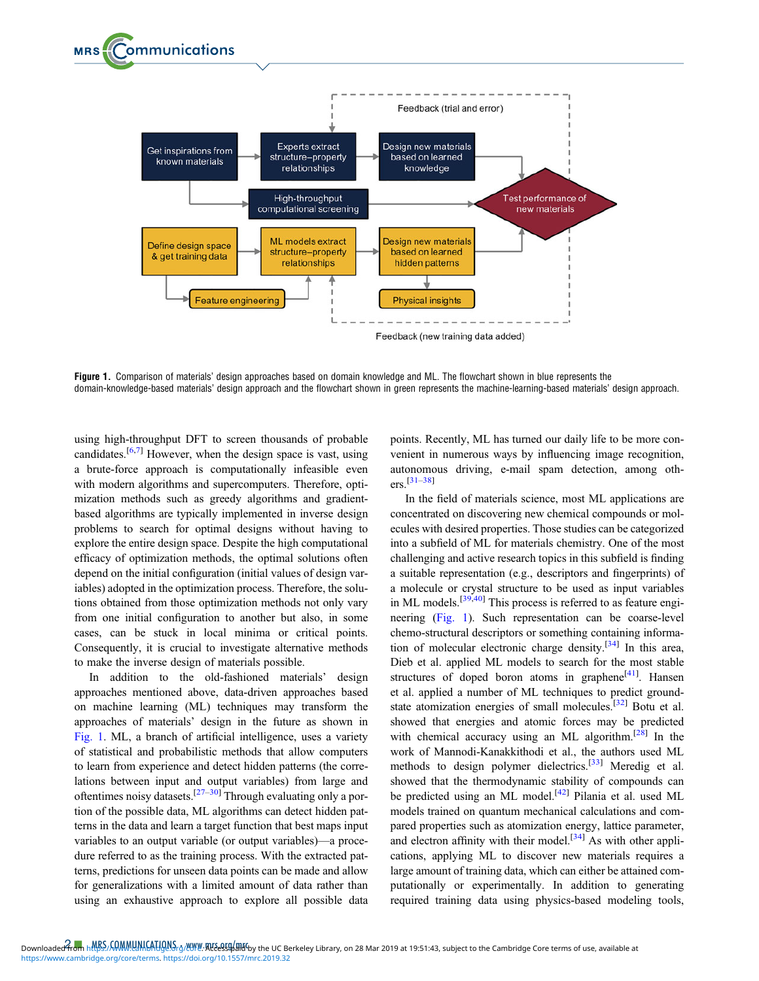<span id="page-1-0"></span>

Figure 1. Comparison of materials' design approaches based on domain knowledge and ML. The flowchart shown in blue represents the domain-knowledge-based materials' design approach and the flowchart shown in green represents the machine-learning-based materials' design approach.

using high-throughput DFT to screen thousands of probable candidates.<sup>[\[6,7](#page-8-0)]</sup> However, when the design space is vast, using a brute-force approach is computationally infeasible even with modern algorithms and supercomputers. Therefore, optimization methods such as greedy algorithms and gradientbased algorithms are typically implemented in inverse design problems to search for optimal designs without having to explore the entire design space. Despite the high computational efficacy of optimization methods, the optimal solutions often depend on the initial configuration (initial values of design variables) adopted in the optimization process. Therefore, the solutions obtained from those optimization methods not only vary from one initial configuration to another but also, in some cases, can be stuck in local minima or critical points. Consequently, it is crucial to investigate alternative methods to make the inverse design of materials possible.

In addition to the old-fashioned materials' design approaches mentioned above, data-driven approaches based on machine learning (ML) techniques may transform the approaches of materials' design in the future as shown in Fig. 1. ML, a branch of artificial intelligence, uses a variety of statistical and probabilistic methods that allow computers to learn from experience and detect hidden patterns (the correlations between input and output variables) from large and oftentimes noisy datasets.<sup>[\[27](#page-8-0)–[30](#page-8-0)]</sup> Through evaluating only a portion of the possible data, ML algorithms can detect hidden patterns in the data and learn a target function that best maps input variables to an output variable (or output variables)—a procedure referred to as the training process. With the extracted patterns, predictions for unseen data points can be made and allow for generalizations with a limited amount of data rather than using an exhaustive approach to explore all possible data points. Recently, ML has turned our daily life to be more convenient in numerous ways by influencing image recognition, autonomous driving, e-mail spam detection, among others.[[31](#page-8-0)–[38](#page-9-0)]

In the field of materials science, most ML applications are concentrated on discovering new chemical compounds or molecules with desired properties. Those studies can be categorized into a subfield of ML for materials chemistry. One of the most challenging and active research topics in this subfield is finding a suitable representation (e.g., descriptors and fingerprints) of a molecule or crystal structure to be used as input variables in ML models.<sup>[\[39,40](#page-9-0)]</sup> This process is referred to as feature engineering (Fig. 1). Such representation can be coarse-level chemo-structural descriptors or something containing informa-tion of molecular electronic charge density.<sup>[\[34](#page-9-0)]</sup> In this area, Dieb et al. applied ML models to search for the most stable structures of doped boron atoms in graphene<sup>[\[41](#page-9-0)]</sup>. Hansen et al. applied a number of ML techniques to predict ground-state atomization energies of small molecules.<sup>[\[32](#page-8-0)]</sup> Botu et al. showed that energies and atomic forces may be predicted with chemical accuracy using an ML algorithm.<sup>[\[28](#page-8-0)]</sup> In the work of Mannodi-Kanakkithodi et al., the authors used ML methods to design polymer dielectrics.<sup>[\[33](#page-8-0)]</sup> Meredig et al. showed that the thermodynamic stability of compounds can be predicted using an ML model.<sup>[[42](#page-9-0)]</sup> Pilania et al. used ML models trained on quantum mechanical calculations and compared properties such as atomization energy, lattice parameter, and electron affinity with their model. $[34]$  $[34]$  As with other applications, applying ML to discover new materials requires a large amount of training data, which can either be attained computationally or experimentally. In addition to generating required training data using physics-based modeling tools,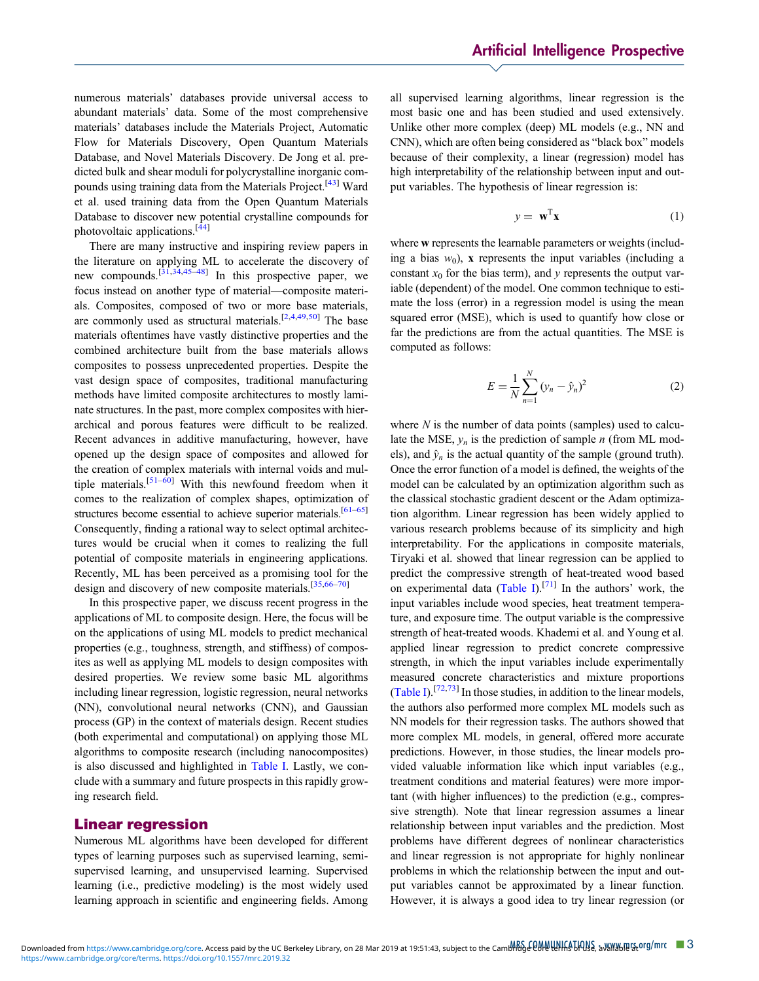numerous materials' databases provide universal access to abundant materials' data. Some of the most comprehensive materials' databases include the Materials Project, Automatic Flow for Materials Discovery, Open Quantum Materials Database, and Novel Materials Discovery. De Jong et al. predicted bulk and shear moduli for polycrystalline inorganic com-pounds using training data from the Materials Project.<sup>[\[43\]](#page-9-0)</sup> Ward et al. used training data from the Open Quantum Materials Database to discover new potential crystalline compounds for photovoltaic applications.[[44](#page-9-0)]

There are many instructive and inspiring review papers in the literature on applying ML to accelerate the discovery of new compounds.<sup>[\[31](#page-8-0),[34](#page-9-0),[45](#page-9-0)-[48\]](#page-9-0)</sup> In this prospective paper, we focus instead on another type of material—composite materials. Composites, composed of two or more base materials, are commonly used as structural materials.<sup>[\[2,4](#page-8-0),[49](#page-9-0),[50\]](#page-9-0)</sup> The base materials oftentimes have vastly distinctive properties and the combined architecture built from the base materials allows composites to possess unprecedented properties. Despite the vast design space of composites, traditional manufacturing methods have limited composite architectures to mostly laminate structures. In the past, more complex composites with hierarchical and porous features were difficult to be realized. Recent advances in additive manufacturing, however, have opened up the design space of composites and allowed for the creation of complex materials with internal voids and mul-tiple materials.<sup>[\[51](#page-9-0)–[60](#page-9-0)]</sup> With this newfound freedom when it comes to the realization of complex shapes, optimization of structures become essential to achieve superior materials.<sup>[\[61](#page-9-0)–[65\]](#page-9-0)</sup> Consequently, finding a rational way to select optimal architectures would be crucial when it comes to realizing the full potential of composite materials in engineering applications. Recently, ML has been perceived as a promising tool for the design and discovery of new composite materials.<sup>[[35](#page-9-0),[66](#page-9-0)–[70\]](#page-9-0)</sup>

In this prospective paper, we discuss recent progress in the applications of ML to composite design. Here, the focus will be on the applications of using ML models to predict mechanical properties (e.g., toughness, strength, and stiffness) of composites as well as applying ML models to design composites with desired properties. We review some basic ML algorithms including linear regression, logistic regression, neural networks (NN), convolutional neural networks (CNN), and Gaussian process (GP) in the context of materials design. Recent studies (both experimental and computational) on applying those ML algorithms to composite research (including nanocomposites) is also discussed and highlighted in [Table I.](#page-3-0) Lastly, we conclude with a summary and future prospects in this rapidly growing research field.

## Linear regression

Numerous ML algorithms have been developed for different types of learning purposes such as supervised learning, semisupervised learning, and unsupervised learning. Supervised learning (i.e., predictive modeling) is the most widely used learning approach in scientific and engineering fields. Among all supervised learning algorithms, linear regression is the most basic one and has been studied and used extensively. Unlike other more complex (deep) ML models (e.g., NN and CNN), which are often being considered as "black box" models because of their complexity, a linear (regression) model has high interpretability of the relationship between input and output variables. The hypothesis of linear regression is:

$$
y = \mathbf{w}^{\mathrm{T}} \mathbf{x} \tag{1}
$$

where w represents the learnable parameters or weights (including a bias  $w_0$ ), x represents the input variables (including a constant  $x_0$  for the bias term), and y represents the output variable (dependent) of the model. One common technique to estimate the loss (error) in a regression model is using the mean squared error (MSE), which is used to quantify how close or far the predictions are from the actual quantities. The MSE is computed as follows:

$$
E = \frac{1}{N} \sum_{n=1}^{N} (y_n - \hat{y}_n)^2
$$
 (2)

where  $N$  is the number of data points (samples) used to calculate the MSE,  $y_n$  is the prediction of sample *n* (from ML models), and  $\hat{y}_n$  is the actual quantity of the sample (ground truth). Once the error function of a model is defined, the weights of the model can be calculated by an optimization algorithm such as the classical stochastic gradient descent or the Adam optimization algorithm. Linear regression has been widely applied to various research problems because of its simplicity and high interpretability. For the applications in composite materials, Tiryaki et al. showed that linear regression can be applied to predict the compressive strength of heat-treated wood based on experimental data ([Table I](#page-3-0)).<sup>[[71\]](#page-9-0)</sup> In the authors' work, the input variables include wood species, heat treatment temperature, and exposure time. The output variable is the compressive strength of heat-treated woods. Khademi et al. and Young et al. applied linear regression to predict concrete compressive strength, in which the input variables include experimentally measured concrete characteristics and mixture proportions [\(Table I](#page-3-0)).<sup>[\[72,73](#page-9-0)]</sup> In those studies, in addition to the linear models, the authors also performed more complex ML models such as NN models for their regression tasks. The authors showed that more complex ML models, in general, offered more accurate predictions. However, in those studies, the linear models provided valuable information like which input variables (e.g., treatment conditions and material features) were more important (with higher influences) to the prediction (e.g., compressive strength). Note that linear regression assumes a linear relationship between input variables and the prediction. Most problems have different degrees of nonlinear characteristics and linear regression is not appropriate for highly nonlinear problems in which the relationship between the input and output variables cannot be approximated by a linear function. However, it is always a good idea to try linear regression (or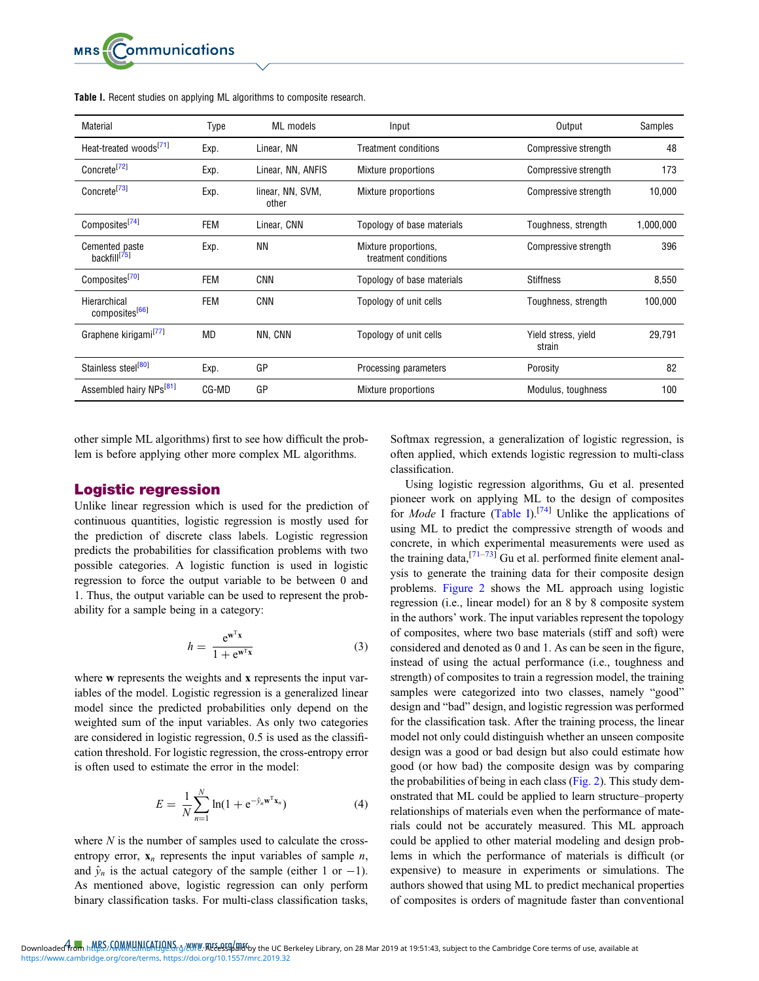| <b>Material</b>                            | Type       | ML models                 | Input                                        | Output                        | <b>Samples</b> |
|--------------------------------------------|------------|---------------------------|----------------------------------------------|-------------------------------|----------------|
| Heat-treated woods <sup>[71]</sup>         | Exp.       | Linear, NN                | <b>Treatment conditions</b>                  | Compressive strength          | 48             |
| Concrete <sup>[72]</sup>                   | Exp.       | Linear, NN, ANFIS         | Mixture proportions                          | Compressive strength          | 173            |
| Concrete <sup>[73]</sup>                   | Exp.       | linear, NN, SVM,<br>other | Mixture proportions                          | Compressive strength          | 10,000         |
| Composites <sup>[74]</sup>                 | FEM        | Linear, CNN               | Topology of base materials                   | Toughness, strength           | 1,000,000      |
| Cemented paste<br>backfill <sup>[75]</sup> | Exp.       | ΝN                        | Mixture proportions,<br>treatment conditions | Compressive strength          | 396            |
| Composites <sup>[70]</sup>                 | <b>FEM</b> | <b>CNN</b>                | Topology of base materials                   | <b>Stiffness</b>              | 8,550          |
| Hierarchical<br>composites <sup>[66]</sup> | <b>FEM</b> | <b>CNN</b>                | Topology of unit cells                       | Toughness, strength           | 100,000        |
| Graphene kirigami <sup>[77]</sup>          | MD         | NN, CNN                   | Topology of unit cells                       | Yield stress, yield<br>strain | 29,791         |
| Stainless steel <sup>[80]</sup>            | Exp.       | GP                        | Processing parameters                        | Porosity                      | 82             |
| Assembled hairy NPs <sup>[81]</sup>        | CG-MD      | GP                        | Mixture proportions                          | Modulus, toughness            | 100            |

<span id="page-3-0"></span>Table I. Recent studies on applying ML algorithms to composite research.

other simple ML algorithms) first to see how difficult the problem is before applying other more complex ML algorithms.

#### Logistic regression

Unlike linear regression which is used for the prediction of continuous quantities, logistic regression is mostly used for the prediction of discrete class labels. Logistic regression predicts the probabilities for classification problems with two possible categories. A logistic function is used in logistic regression to force the output variable to be between 0 and 1. Thus, the output variable can be used to represent the probability for a sample being in a category:

$$
h = \frac{e^{w^T x}}{1 + e^{w^T x}}
$$
 (3)

where w represents the weights and x represents the input variables of the model. Logistic regression is a generalized linear model since the predicted probabilities only depend on the weighted sum of the input variables. As only two categories are considered in logistic regression, 0.5 is used as the classification threshold. For logistic regression, the cross-entropy error is often used to estimate the error in the model:

$$
E = \frac{1}{N} \sum_{n=1}^{N} \ln(1 + e^{-\hat{y}_n \mathbf{w}^{\mathrm{T}} \mathbf{x}_n})
$$
(4)

where  $N$  is the number of samples used to calculate the crossentropy error,  $x_n$  represents the input variables of sample *n*, and  $\hat{y}_n$  is the actual category of the sample (either 1 or -1). As mentioned above, logistic regression can only perform binary classification tasks. For multi-class classification tasks, Softmax regression, a generalization of logistic regression, is often applied, which extends logistic regression to multi-class classification.

Using logistic regression algorithms, Gu et al. presented pioneer work on applying ML to the design of composites for *Mode* I fracture (Table I).<sup>[\[74\]](#page-9-0)</sup> Unlike the applications of using ML to predict the compressive strength of woods and concrete, in which experimental measurements were used as the training data, $\left[71-73\right]$  $\left[71-73\right]$  $\left[71-73\right]$  $\left[71-73\right]$  $\left[71-73\right]$  Gu et al. performed finite element analysis to generate the training data for their composite design problems. [Figure 2](#page-4-0) shows the ML approach using logistic regression (i.e., linear model) for an 8 by 8 composite system in the authors' work. The input variables represent the topology of composites, where two base materials (stiff and soft) were considered and denoted as 0 and 1. As can be seen in the figure, instead of using the actual performance (i.e., toughness and strength) of composites to train a regression model, the training samples were categorized into two classes, namely "good" design and "bad" design, and logistic regression was performed for the classification task. After the training process, the linear model not only could distinguish whether an unseen composite design was a good or bad design but also could estimate how good (or how bad) the composite design was by comparing the probabilities of being in each class [\(Fig. 2\)](#page-4-0). This study demonstrated that ML could be applied to learn structure–property relationships of materials even when the performance of materials could not be accurately measured. This ML approach could be applied to other material modeling and design problems in which the performance of materials is difficult (or expensive) to measure in experiments or simulations. The authors showed that using ML to predict mechanical properties of composites is orders of magnitude faster than conventional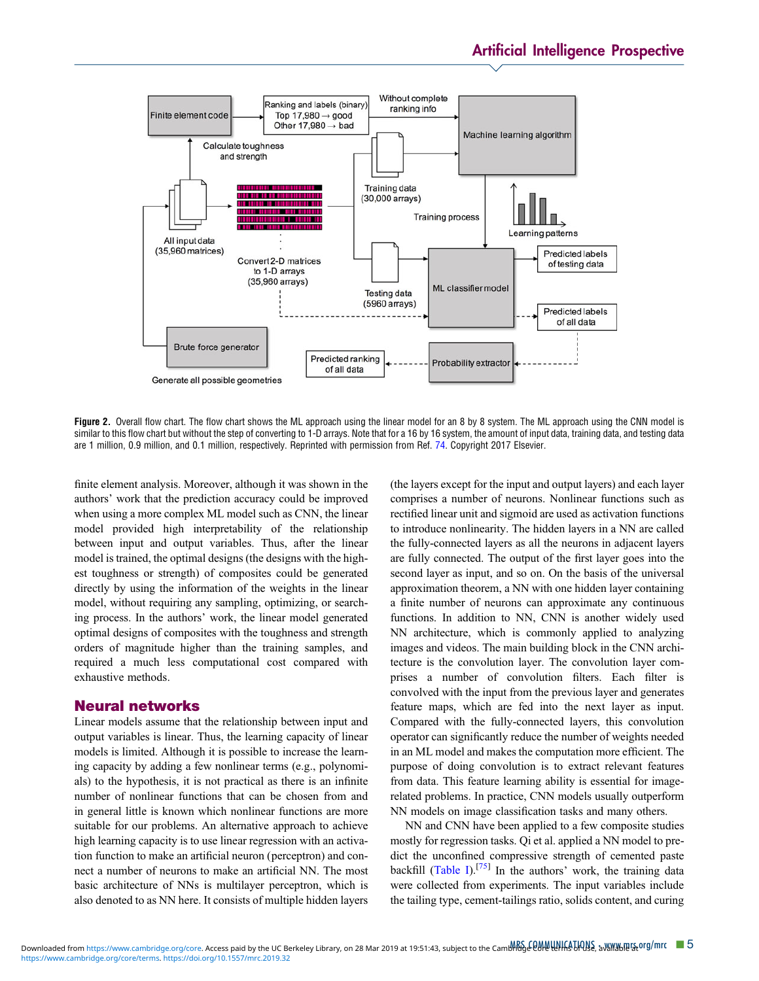<span id="page-4-0"></span>

Figure 2. Overall flow chart. The flow chart shows the ML approach using the linear model for an 8 by 8 system. The ML approach using the CNN model is similar to this flow chart but without the step of converting to 1-D arrays. Note that for a 16 by 16 system, the amount of input data, training data, and testing data are 1 million, 0.9 million, and 0.1 million, respectively. Reprinted with permission from Ref. [74](#page-9-0). Copyright 2017 Elsevier.

finite element analysis. Moreover, although it was shown in the authors' work that the prediction accuracy could be improved when using a more complex ML model such as CNN, the linear model provided high interpretability of the relationship between input and output variables. Thus, after the linear model is trained, the optimal designs (the designs with the highest toughness or strength) of composites could be generated directly by using the information of the weights in the linear model, without requiring any sampling, optimizing, or searching process. In the authors' work, the linear model generated optimal designs of composites with the toughness and strength orders of magnitude higher than the training samples, and required a much less computational cost compared with exhaustive methods.

# Neural networks

Linear models assume that the relationship between input and output variables is linear. Thus, the learning capacity of linear models is limited. Although it is possible to increase the learning capacity by adding a few nonlinear terms (e.g., polynomials) to the hypothesis, it is not practical as there is an infinite number of nonlinear functions that can be chosen from and in general little is known which nonlinear functions are more suitable for our problems. An alternative approach to achieve high learning capacity is to use linear regression with an activation function to make an artificial neuron (perceptron) and connect a number of neurons to make an artificial NN. The most basic architecture of NNs is multilayer perceptron, which is also denoted to as NN here. It consists of multiple hidden layers (the layers except for the input and output layers) and each layer comprises a number of neurons. Nonlinear functions such as rectified linear unit and sigmoid are used as activation functions to introduce nonlinearity. The hidden layers in a NN are called the fully-connected layers as all the neurons in adjacent layers are fully connected. The output of the first layer goes into the second layer as input, and so on. On the basis of the universal approximation theorem, a NN with one hidden layer containing a finite number of neurons can approximate any continuous functions. In addition to NN, CNN is another widely used NN architecture, which is commonly applied to analyzing images and videos. The main building block in the CNN architecture is the convolution layer. The convolution layer comprises a number of convolution filters. Each filter is convolved with the input from the previous layer and generates feature maps, which are fed into the next layer as input. Compared with the fully-connected layers, this convolution operator can significantly reduce the number of weights needed in an ML model and makes the computation more efficient. The purpose of doing convolution is to extract relevant features from data. This feature learning ability is essential for imagerelated problems. In practice, CNN models usually outperform NN models on image classification tasks and many others.

NN and CNN have been applied to a few composite studies mostly for regression tasks. Qi et al. applied a NN model to predict the unconfined compressive strength of cemented paste backfill [\(Table I\)](#page-3-0).<sup>[\[75\]](#page-9-0)</sup> In the authors' work, the training data were collected from experiments. The input variables include the tailing type, cement-tailings ratio, solids content, and curing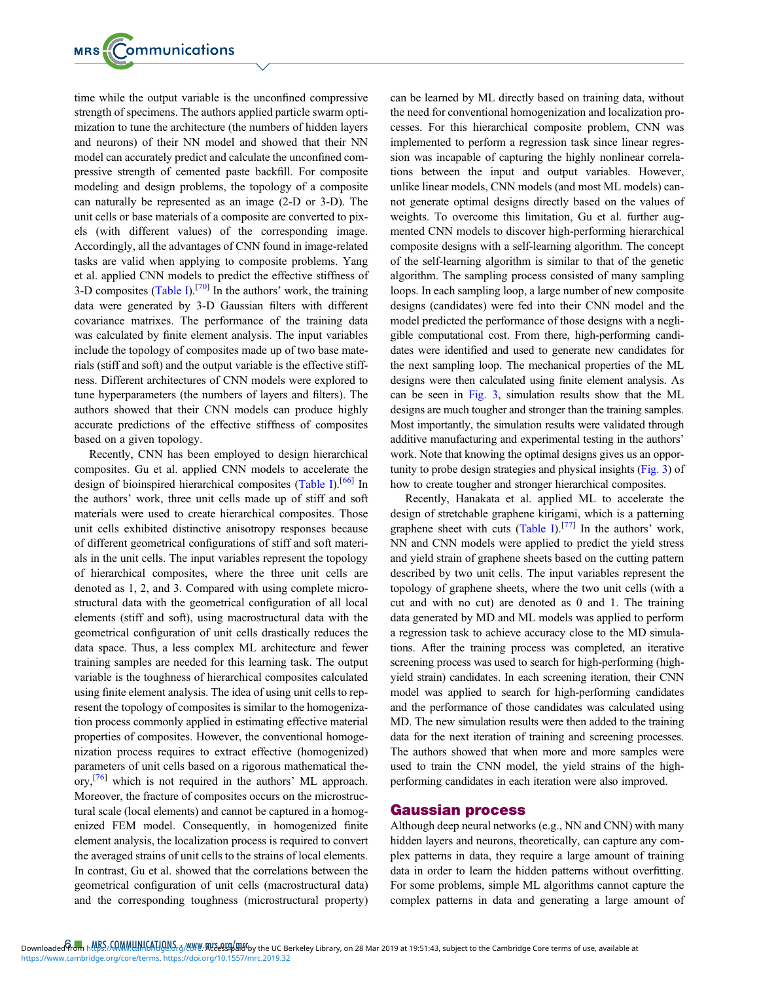time while the output variable is the unconfined compressive strength of specimens. The authors applied particle swarm optimization to tune the architecture (the numbers of hidden layers and neurons) of their NN model and showed that their NN model can accurately predict and calculate the unconfined compressive strength of cemented paste backfill. For composite modeling and design problems, the topology of a composite can naturally be represented as an image (2-D or 3-D). The unit cells or base materials of a composite are converted to pixels (with different values) of the corresponding image. Accordingly, all the advantages of CNN found in image-related tasks are valid when applying to composite problems. Yang et al. applied CNN models to predict the effective stiffness of 3-D composites [\(Table I](#page-3-0)).<sup>[[70\]](#page-9-0)</sup> In the authors' work, the training data were generated by 3-D Gaussian filters with different covariance matrixes. The performance of the training data was calculated by finite element analysis. The input variables include the topology of composites made up of two base materials (stiff and soft) and the output variable is the effective stiffness. Different architectures of CNN models were explored to tune hyperparameters (the numbers of layers and filters). The authors showed that their CNN models can produce highly accurate predictions of the effective stiffness of composites based on a given topology.

Recently, CNN has been employed to design hierarchical composites. Gu et al. applied CNN models to accelerate the design of bioinspired hierarchical composites  $(Table I)$  $(Table I)$ .<sup>[\[66\]](#page-9-0)</sup> In the authors' work, three unit cells made up of stiff and soft materials were used to create hierarchical composites. Those unit cells exhibited distinctive anisotropy responses because of different geometrical configurations of stiff and soft materials in the unit cells. The input variables represent the topology of hierarchical composites, where the three unit cells are denoted as 1, 2, and 3. Compared with using complete microstructural data with the geometrical configuration of all local elements (stiff and soft), using macrostructural data with the geometrical configuration of unit cells drastically reduces the data space. Thus, a less complex ML architecture and fewer training samples are needed for this learning task. The output variable is the toughness of hierarchical composites calculated using finite element analysis. The idea of using unit cells to represent the topology of composites is similar to the homogenization process commonly applied in estimating effective material properties of composites. However, the conventional homogenization process requires to extract effective (homogenized) parameters of unit cells based on a rigorous mathematical theory, $^{[76]}$  $^{[76]}$  $^{[76]}$  which is not required in the authors' ML approach. Moreover, the fracture of composites occurs on the microstructural scale (local elements) and cannot be captured in a homogenized FEM model. Consequently, in homogenized finite element analysis, the localization process is required to convert the averaged strains of unit cells to the strains of local elements. In contrast, Gu et al. showed that the correlations between the geometrical configuration of unit cells (macrostructural data) and the corresponding toughness (microstructural property) can be learned by ML directly based on training data, without the need for conventional homogenization and localization processes. For this hierarchical composite problem, CNN was implemented to perform a regression task since linear regression was incapable of capturing the highly nonlinear correlations between the input and output variables. However, unlike linear models, CNN models (and most ML models) cannot generate optimal designs directly based on the values of weights. To overcome this limitation, Gu et al. further augmented CNN models to discover high-performing hierarchical composite designs with a self-learning algorithm. The concept of the self-learning algorithm is similar to that of the genetic algorithm. The sampling process consisted of many sampling loops. In each sampling loop, a large number of new composite designs (candidates) were fed into their CNN model and the model predicted the performance of those designs with a negligible computational cost. From there, high-performing candidates were identified and used to generate new candidates for the next sampling loop. The mechanical properties of the ML designs were then calculated using finite element analysis. As can be seen in [Fig. 3,](#page-6-0) simulation results show that the ML designs are much tougher and stronger than the training samples. Most importantly, the simulation results were validated through additive manufacturing and experimental testing in the authors' work. Note that knowing the optimal designs gives us an opportunity to probe design strategies and physical insights [\(Fig. 3\)](#page-6-0) of how to create tougher and stronger hierarchical composites.

Recently, Hanakata et al. applied ML to accelerate the design of stretchable graphene kirigami, which is a patterning graphene sheet with cuts [\(Table I](#page-3-0)).<sup>[\[77](#page-9-0)]</sup> In the authors' work, NN and CNN models were applied to predict the yield stress and yield strain of graphene sheets based on the cutting pattern described by two unit cells. The input variables represent the topology of graphene sheets, where the two unit cells (with a cut and with no cut) are denoted as 0 and 1. The training data generated by MD and ML models was applied to perform a regression task to achieve accuracy close to the MD simulations. After the training process was completed, an iterative screening process was used to search for high-performing (highyield strain) candidates. In each screening iteration, their CNN model was applied to search for high-performing candidates and the performance of those candidates was calculated using MD. The new simulation results were then added to the training data for the next iteration of training and screening processes. The authors showed that when more and more samples were used to train the CNN model, the yield strains of the highperforming candidates in each iteration were also improved.

#### Gaussian process

Although deep neural networks (e.g., NN and CNN) with many hidden layers and neurons, theoretically, can capture any complex patterns in data, they require a large amount of training data in order to learn the hidden patterns without overfitting. For some problems, simple ML algorithms cannot capture the complex patterns in data and generating a large amount of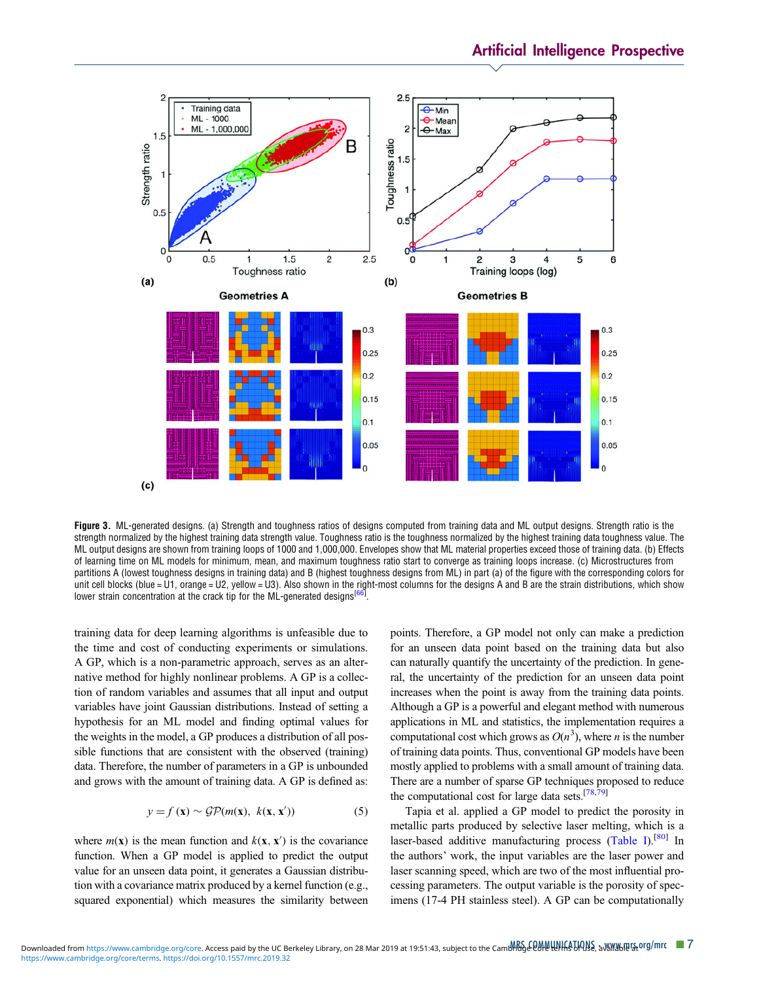<span id="page-6-0"></span>

Figure 3. ML-generated designs. (a) Strength and toughness ratios of designs computed from training data and ML output designs. Strength ratio is the strength normalized by the highest training data strength value. Toughness ratio is the toughness normalized by the highest training data toughness value. The ML output designs are shown from training loops of 1000 and 1,000,000. Envelopes show that ML material properties exceed those of training data. (b) Effects of learning time on ML models for minimum, mean, and maximum toughness ratio start to converge as training loops increase. (c) Microstructures from partitions A (lowest toughness designs in training data) and B (highest toughness designs from ML) in part (a) of the figure with the corresponding colors for unit cell blocks (blue = U1, orange = U2, yellow = U3). Also shown in the right-most columns for the designs A and B are the strain distributions, which show lower strain concentration at the crack tip for the ML-generated designs<sup>[6</sup>] .

training data for deep learning algorithms is unfeasible due to the time and cost of conducting experiments or simulations. A GP, which is a non-parametric approach, serves as an alternative method for highly nonlinear problems. A GP is a collection of random variables and assumes that all input and output variables have joint Gaussian distributions. Instead of setting a hypothesis for an ML model and finding optimal values for the weights in the model, a GP produces a distribution of all possible functions that are consistent with the observed (training) data. Therefore, the number of parameters in a GP is unbounded and grows with the amount of training data. A GP is defined as:

$$
y = f(\mathbf{x}) \sim \mathcal{GP}(m(\mathbf{x}), \ k(\mathbf{x}, \mathbf{x}')) \tag{5}
$$

where  $m(\mathbf{x})$  is the mean function and  $k(\mathbf{x}, \mathbf{x}')$  is the covariance function. When a GP model is applied to predict the output value for an unseen data point, it generates a Gaussian distribution with a covariance matrix produced by a kernel function (e.g., squared exponential) which measures the similarity between points. Therefore, a GP model not only can make a prediction for an unseen data point based on the training data but also can naturally quantify the uncertainty of the prediction. In general, the uncertainty of the prediction for an unseen data point increases when the point is away from the training data points. Although a GP is a powerful and elegant method with numerous applications in ML and statistics, the implementation requires a computational cost which grows as  $O(n^3)$ , where *n* is the number of training data points. Thus, conventional GP models have been mostly applied to problems with a small amount of training data. There are a number of sparse GP techniques proposed to reduce the computational cost for large data sets.<sup>[[78](#page-9-0)[,79](#page-10-0)]</sup>

Tapia et al. applied a GP model to predict the porosity in metallic parts produced by selective laser melting, which is a laser-based additive manufacturing process  $(Table I)$  $(Table I)$  $(Table I)$ .<sup>[[80\]](#page-10-0)</sup> In the authors' work, the input variables are the laser power and laser scanning speed, which are two of the most influential processing parameters. The output variable is the porosity of specimens (17-4 PH stainless steel). A GP can be computationally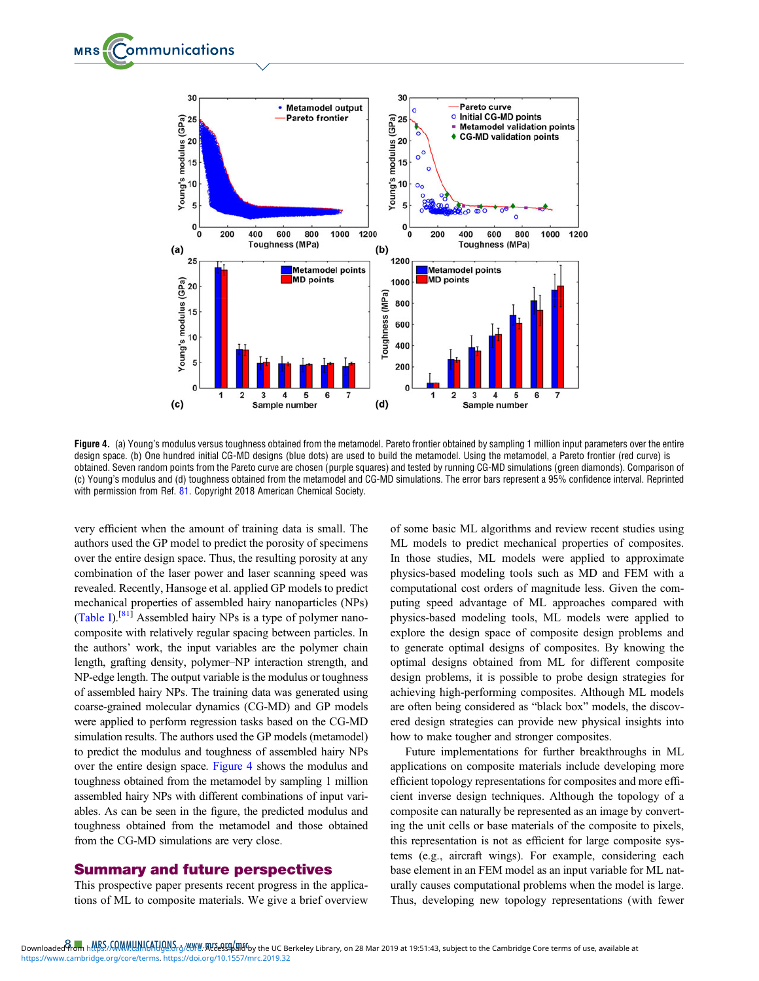

Figure 4. (a) Young's modulus versus toughness obtained from the metamodel. Pareto frontier obtained by sampling 1 million input parameters over the entire design space. (b) One hundred initial CG-MD designs (blue dots) are used to build the metamodel. Using the metamodel, a Pareto frontier (red curve) is obtained. Seven random points from the Pareto curve are chosen (purple squares) and tested by running CG-MD simulations (green diamonds). Comparison of (c) Young's modulus and (d) toughness obtained from the metamodel and CG-MD simulations. The error bars represent a 95% confidence interval. Reprinted with permission from Ref. [81.](#page-10-0) Copyright 2018 American Chemical Society.

very efficient when the amount of training data is small. The authors used the GP model to predict the porosity of specimens over the entire design space. Thus, the resulting porosity at any combination of the laser power and laser scanning speed was revealed. Recently, Hansoge et al. applied GP models to predict mechanical properties of assembled hairy nanoparticles (NPs) [\(Table I](#page-3-0)).<sup>[[81](#page-10-0)]</sup> Assembled hairy NPs is a type of polymer nanocomposite with relatively regular spacing between particles. In the authors' work, the input variables are the polymer chain length, grafting density, polymer–NP interaction strength, and NP-edge length. The output variable is the modulus or toughness of assembled hairy NPs. The training data was generated using coarse-grained molecular dynamics (CG-MD) and GP models were applied to perform regression tasks based on the CG-MD simulation results. The authors used the GP models (metamodel) to predict the modulus and toughness of assembled hairy NPs over the entire design space. Figure 4 shows the modulus and toughness obtained from the metamodel by sampling 1 million assembled hairy NPs with different combinations of input variables. As can be seen in the figure, the predicted modulus and toughness obtained from the metamodel and those obtained from the CG-MD simulations are very close.

## Summary and future perspectives

This prospective paper presents recent progress in the applications of ML to composite materials. We give a brief overview of some basic ML algorithms and review recent studies using ML models to predict mechanical properties of composites. In those studies, ML models were applied to approximate physics-based modeling tools such as MD and FEM with a computational cost orders of magnitude less. Given the computing speed advantage of ML approaches compared with physics-based modeling tools, ML models were applied to explore the design space of composite design problems and to generate optimal designs of composites. By knowing the optimal designs obtained from ML for different composite design problems, it is possible to probe design strategies for achieving high-performing composites. Although ML models are often being considered as "black box" models, the discovered design strategies can provide new physical insights into how to make tougher and stronger composites.

Future implementations for further breakthroughs in ML applications on composite materials include developing more efficient topology representations for composites and more efficient inverse design techniques. Although the topology of a composite can naturally be represented as an image by converting the unit cells or base materials of the composite to pixels, this representation is not as efficient for large composite systems (e.g., aircraft wings). For example, considering each base element in an FEM model as an input variable for ML naturally causes computational problems when the model is large. Thus, developing new topology representations (with fewer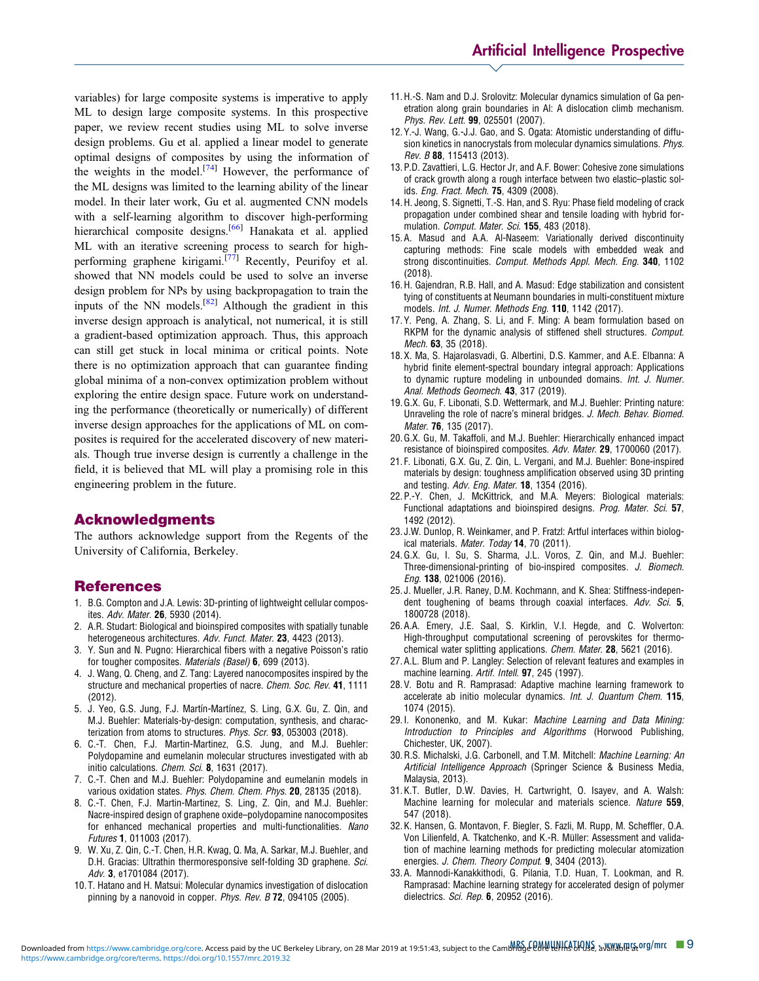<span id="page-8-0"></span>variables) for large composite systems is imperative to apply ML to design large composite systems. In this prospective paper, we review recent studies using ML to solve inverse design problems. Gu et al. applied a linear model to generate optimal designs of composites by using the information of the weights in the model.<sup>[[74](#page-9-0)]</sup> However, the performance of the ML designs was limited to the learning ability of the linear model. In their later work, Gu et al. augmented CNN models with a self-learning algorithm to discover high-performing hierarchical composite designs.<sup>[[66\]](#page-9-0)</sup> Hanakata et al. applied ML with an iterative screening process to search for high-performing graphene kirigami.<sup>[\[77\]](#page-9-0)</sup> Recently, Peurifoy et al. showed that NN models could be used to solve an inverse design problem for NPs by using backpropagation to train the inputs of the NN models.<sup>[\[82](#page-10-0)]</sup> Although the gradient in this inverse design approach is analytical, not numerical, it is still a gradient-based optimization approach. Thus, this approach can still get stuck in local minima or critical points. Note there is no optimization approach that can guarantee finding global minima of a non-convex optimization problem without exploring the entire design space. Future work on understanding the performance (theoretically or numerically) of different inverse design approaches for the applications of ML on composites is required for the accelerated discovery of new materials. Though true inverse design is currently a challenge in the field, it is believed that ML will play a promising role in this engineering problem in the future.

# Acknowledgments

The authors acknowledge support from the Regents of the University of California, Berkeley.

# **References**

- 1. B.G. Compton and J.A. Lewis: 3D-printing of lightweight cellular compos-
- ites. *Adv. Mater*. **26**, 5930 (2014).<br>2. A.R. Studart: Biological and bioinspired composites with spatially tunable heterogeneous architectures. Adv. Funct. Mater. 23, 4423 (2013).
- 3. Y. Sun and N. Pugno: Hierarchical fibers with a negative Poisson's ratio for tougher composites. Materials (Basel) 6, 699 (2013).
- 4. J. Wang, Q. Cheng, and Z. Tang: Layered nanocomposites inspired by the structure and mechanical properties of nacre. Chem. Soc. Rev. 41, 1111 (2012).
- 5. J. Yeo, G.S. Jung, F.J. Martín-Martínez, S. Ling, G.X. Gu, Z. Qin, and M.J. Buehler: Materials-by-design: computation, synthesis, and characterization from atoms to structures. Phys. Scr. 93, 053003 (2018).
- 6. C.-T. Chen, F.J. Martin-Martinez, G.S. Jung, and M.J. Buehler: Polydopamine and eumelanin molecular structures investigated with ab
- initio calculations. *Chem. Sci.* **8**, 1631 (2017).<br>7. C.-T. Chen and M.J. Buehler: Polydopamine and eumelanin models in various oxidation states. Phys. Chem. Chem. Phys. 20, 28135 (2018).
- 8. C.-T. Chen, F.J. Martin-Martinez, S. Ling, Z. Qin, and M.J. Buehler: Nacre-inspired design of graphene oxide–polydopamine nanocomposites for enhanced mechanical properties and multi-functionalities. Nano Futures 1, 011003 (2017).
- 9. W. Xu, Z. Qin, C.-T. Chen, H.R. Kwag, Q. Ma, A. Sarkar, M.J. Buehler, and D.H. Gracias: Ultrathin thermoresponsive self-folding 3D graphene. Sci. Adv. 3, e1701084 (2017).
- 10. T. Hatano and H. Matsui: Molecular dynamics investigation of dislocation pinning by a nanovoid in copper. Phys. Rev.  $B$  72, 094105 (2005).
- 11. H.-S. Nam and D.J. Srolovitz: Molecular dynamics simulation of Ga penetration along grain boundaries in Al: A dislocation climb mechanism.
- Phys. Rev. Lett. 99, 025501 (2007). 12. Y.-J. Wang, G.-J.J. Gao, and S. Ogata: Atomistic understanding of diffusion kinetics in nanocrystals from molecular dynamics simulations. Phys. Rev. B 88, 115413 (2013).
- 13. P.D. Zavattieri, L.G. Hector Jr, and A.F. Bower: Cohesive zone simulations of crack growth along a rough interface between two elastic–plastic solids. Eng. Fract. Mech. 75, 4309 (2008).
- 14. H. Jeong, S. Signetti, T.-S. Han, and S. Ryu: Phase field modeling of crack propagation under combined shear and tensile loading with hybrid for-
- mulation. *Comput. Mater. Sci*. **155**, 483 (2018).<br>15.A. Masud and A.A. Al-Naseem: Variationally derived discontinuity capturing methods: Fine scale models with embedded weak and strong discontinuities. Comput. Methods Appl. Mech. Eng. 340, 1102 (2018).
- 16. H. Gajendran, R.B. Hall, and A. Masud: Edge stabilization and consistent tying of constituents at Neumann boundaries in multi‐constituent mixture models. Int. J. Numer. Methods Eng. 110, 1142 (2017).
- 17. Y. Peng, A. Zhang, S. Li, and F. Ming: A beam formulation based on RKPM for the dynamic analysis of stiffened shell structures. Comput. Mech. 63, 35 (2018).
- 18. X. Ma, S. Hajarolasvadi, G. Albertini, D.S. Kammer, and A.E. Elbanna: A hybrid finite element‐spectral boundary integral approach: Applications to dynamic rupture modeling in unbounded domains. Int. J. Numer. Anal. Methods Geomech. **43**, 317 (2019).
- 19. G.X. Gu, F. Libonati, S.D. Wettermark, and M.J. Buehler: Printing nature: Unraveling the role of nacre's mineral bridges. J. Mech. Behav. Biomed. Mater. 76, 135 (2017).
- 20. G.X. Gu, M. Takaffoli, and M.J. Buehler: Hierarchically enhanced impact resistance of bioinspired composites. Adv. Mater. 29, 1700060 (2017).
- 21. F. Libonati, G.X. Gu, Z. Qin, L. Vergani, and M.J. Buehler: Bone‐inspired materials by design: toughness amplification observed using 3D printing and testing. Adv. Eng. Mater. 18, 1354 (2016).
- 22. P.-Y. Chen, J. McKittrick, and M.A. Meyers: Biological materials: Functional adaptations and bioinspired designs. Prog. Mater. Sci. 57, 1492 (2012).
- 23. J.W. Dunlop, R. Weinkamer, and P. Fratzl: Artful interfaces within biological materials. Mater. Today 14, 70 (2011).
- 24. G.X. Gu, I. Su, S. Sharma, J.L. Voros, Z. Qin, and M.J. Buehler: Three-dimensional-printing of bio-inspired composites. J. Biomech. Eng. 138, 021006 (2016).
- 25. J. Mueller, J.R. Raney, D.M. Kochmann, and K. Shea: Stiffness‐independent toughening of beams through coaxial interfaces. Adv. Sci. 5, 1800728 (2018).
- 26. A.A. Emery, J.E. Saal, S. Kirklin, V.I. Hegde, and C. Wolverton: High-throughput computational screening of perovskites for thermochemical water splitting applications. Chem. Mater. 28, 5621 (2016).
- 27. A.L. Blum and P. Langley: Selection of relevant features and examples in machine learning. Artif. Intell. 97, 245 (1997).
- 28. V. Botu and R. Ramprasad: Adaptive machine learning framework to accelerate ab initio molecular dynamics. Int. J. Quantum Chem. 115, 1074 (2015).
- 29.I. Kononenko, and M. Kukar: Machine Learning and Data Mining: Introduction to Principles and Algorithms (Horwood Publishing, Chichester, UK, 2007).
- 30. R.S. Michalski, J.G. Carbonell, and T.M. Mitchell: Machine Learning: An Artificial Intelligence Approach (Springer Science & Business Media, Malaysia, 2013).
- 31. K.T. Butler, D.W. Davies, H. Cartwright, O. Isayev, and A. Walsh: Machine learning for molecular and materials science. Nature 559, 547 (2018).
- 32. K. Hansen, G. Montavon, F. Biegler, S. Fazli, M. Rupp, M. Scheffler, O.A. Von Lilienfeld, A. Tkatchenko, and K.-R. Müller: Assessment and validation of machine learning methods for predicting molecular atomization energies. J. Chem. Theory Comput. 9, 3404 (2013).
- 33. A. Mannodi-Kanakkithodi, G. Pilania, T.D. Huan, T. Lookman, and R. Ramprasad: Machine learning strategy for accelerated design of polymer dielectrics. Sci. Rep. 6, 20952 (2016).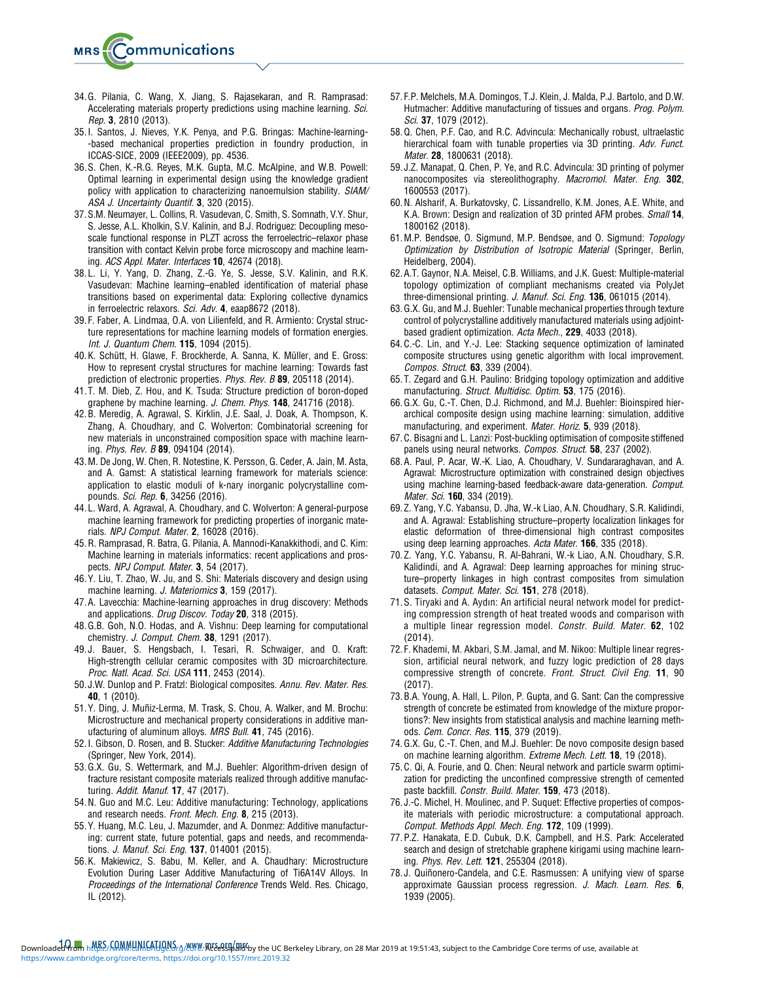- <span id="page-9-0"></span>34. G. Pilania, C. Wang, X. Jiang, S. Rajasekaran, and R. Ramprasad: Accelerating materials property predictions using machine learning. Sci. Rep. 3, 2810 (2013).
- 35.I. Santos, J. Nieves, Y.K. Penya, and P.G. Bringas: Machine-learning- -based mechanical properties prediction in foundry production, in ICCAS-SICE, 2009 (IEEE2009), pp. 4536.
- 36. S. Chen, K.-R.G. Reyes, M.K. Gupta, M.C. McAlpine, and W.B. Powell: Optimal learning in experimental design using the knowledge gradient policy with application to characterizing nanoemulsion stability. SIAM/ ASA J. Uncertainty Quantif. 3, 320 (2015).
- 37. S.M. Neumayer, L. Collins, R. Vasudevan, C. Smith, S. Somnath, V.Y. Shur, S. Jesse, A.L. Kholkin, S.V. Kalinin, and B.J. Rodriguez: Decoupling mesoscale functional response in PLZT across the ferroelectric–relaxor phase transition with contact Kelvin probe force microscopy and machine learning. ACS Appl. Mater. Interfaces 10, 42674 (2018).
- 38. L. Li, Y. Yang, D. Zhang, Z.-G. Ye, S. Jesse, S.V. Kalinin, and R.K. Vasudevan: Machine learning–enabled identification of material phase transitions based on experimental data: Exploring collective dynamics in ferroelectric relaxors. Sci. Adv. 4, eaap8672 (2018).
- 39. F. Faber, A. Lindmaa, O.A. von Lilienfeld, and R. Armiento: Crystal structure representations for machine learning models of formation energies. Int. J. Quantum Chem. 115, 1094 (2015).
- 40. K. Schütt, H. Glawe, F. Brockherde, A. Sanna, K. Müller, and E. Gross: How to represent crystal structures for machine learning: Towards fast prediction of electronic properties. Phys. Rev. B 89, 205118 (2014).
- 41. T. M. Dieb, Z. Hou, and K. Tsuda: Structure prediction of boron-doped graphene by machine learning. J. Chem. Phys. 148, 241716 (2018).
- 42. B. Meredig, A. Agrawal, S. Kirklin, J.E. Saal, J. Doak, A. Thompson, K. Zhang, A. Choudhary, and C. Wolverton: Combinatorial screening for new materials in unconstrained composition space with machine learning. *Phys. Rev. B* 89, 094104 (2014).
- 43.M. De Jong, W. Chen, R. Notestine, K. Persson, G. Ceder, A. Jain, M. Asta, and A. Gamst: A statistical learning framework for materials science: application to elastic moduli of k-nary inorganic polycrystalline compounds. Sci. Rep. 6, 34256 (2016).
- 44. L. Ward, A. Agrawal, A. Choudhary, and C. Wolverton: A general-purpose machine learning framework for predicting properties of inorganic materials. NPJ Comput. Mater. 2, 16028 (2016).
- 45. R. Ramprasad, R. Batra, G. Pilania, A. Mannodi-Kanakkithodi, and C. Kim: Machine learning in materials informatics: recent applications and prospects. NPJ Comput. Mater. 3, 54 (2017).
- 46. Y. Liu, T. Zhao, W. Ju, and S. Shi: Materials discovery and design using machine learning. J. Materiomics 3, 159 (2017).
- 47. A. Lavecchia: Machine-learning approaches in drug discovery: Methods and applications. Drug Discov. Today 20, 318 (2015).
- 48. G.B. Goh, N.O. Hodas, and A. Vishnu: Deep learning for computational chemistry. J. Comput. Chem. 38, 1291 (2017).
- 49. J. Bauer, S. Hengsbach, I. Tesari, R. Schwaiger, and O. Kraft: High-strength cellular ceramic composites with 3D microarchitecture. Proc. Natl. Acad. Sci. USA 111, 2453 (2014).
- 50. J.W. Dunlop and P. Fratzl: Biological composites. Annu. Rev. Mater. Res. 40, 1 (2010).
- 51. Y. Ding, J. Muñiz-Lerma, M. Trask, S. Chou, A. Walker, and M. Brochu: Microstructure and mechanical property considerations in additive manufacturing of aluminum alloys. MRS Bull. 41, 745 (2016).
- 52.I. Gibson, D. Rosen, and B. Stucker: Additive Manufacturing Technologies (Springer, New York, 2014).
- 53. G.X. Gu, S. Wettermark, and M.J. Buehler: Algorithm-driven design of fracture resistant composite materials realized through additive manufacturing. Addit. Manuf. 17, 47 (2017).
- 54. N. Guo and M.C. Leu: Additive manufacturing: Technology, applications and research needs. Front. Mech. Eng. 8, 215 (2013).
- 55. Y. Huang, M.C. Leu, J. Mazumder, and A. Donmez: Additive manufacturing: current state, future potential, gaps and needs, and recommendations. J. Manuf. Sci. Eng. 137, 014001 (2015).
- 56. K. Makiewicz, S. Babu, M. Keller, and A. Chaudhary: Microstructure Evolution During Laser Additive Manufacturing of Ti6A14V Alloys. In Proceedings of the International Conference Trends Weld. Res. Chicago, IL (2012).
- 57. F.P. Melchels, M.A. Domingos, T.J. Klein, J. Malda, P.J. Bartolo, and D.W. Hutmacher: Additive manufacturing of tissues and organs. Prog. Polym. Sci. 37, 1079 (2012).
- 58. Q. Chen, P.F. Cao, and R.C. Advincula: Mechanically robust, ultraelastic hierarchical foam with tunable properties via 3D printing. Adv. Funct. Mater. 28, 1800631 (2018).
- 59. J.Z. Manapat, Q. Chen, P. Ye, and R.C. Advincula: 3D printing of polymer nanocomposites via stereolithography. Macromol. Mater. Eng. 302, 1600553 (2017).
- 60. N. Alsharif, A. Burkatovsky, C. Lissandrello, K.M. Jones, A.E. White, and K.A. Brown: Design and realization of 3D printed AFM probes. Small 14, 1800162 (2018).
- 61.M.P. Bendsøe, O. Sigmund, M.P. Bendsøe, and O. Sigmund: Topology Optimization by Distribution of Isotropic Material (Springer, Berlin, Heidelberg, 2004).
- 62. A.T. Gaynor, N.A. Meisel, C.B. Williams, and J.K. Guest: Multiple-material topology optimization of compliant mechanisms created via PolyJet three-dimensional printing. J. Manuf. Sci. Eng. 136, 061015 (2014).
- 63. G.X. Gu, and M.J. Buehler: Tunable mechanical properties through texture control of polycrystalline additively manufactured materials using adjointbased gradient optimization. Acta Mech., 229, 4033 (2018).
- 64. C.-C. Lin, and Y.-J. Lee: Stacking sequence optimization of laminated composite structures using genetic algorithm with local improvement. Compos. Struct. 63, 339 (2004).
- 65. T. Zegard and G.H. Paulino: Bridging topology optimization and additive manufacturing. Struct. Multidisc. Optim. **53**, 175 (2016).
- 66. G.X. Gu, C.-T. Chen, D.J. Richmond, and M.J. Buehler: Bioinspired hierarchical composite design using machine learning: simulation, additive manufacturing, and experiment. Mater. Horiz. 5, 939 (2018).
- 67. C. Bisagni and L. Lanzi: Post-buckling optimisation of composite stiffened panels using neural networks. Compos. Struct. 58, 237 (2002).
- 68. A. Paul, P. Acar, W.-K. Liao, A. Choudhary, V. Sundararaghavan, and A. Agrawal: Microstructure optimization with constrained design objectives using machine learning-based feedback-aware data-generation. Comput. Mater. Sci. **160**, 334 (2019).
- 69. Z. Yang, Y.C. Yabansu, D. Jha, W.-k Liao, A.N. Choudhary, S.R. Kalidindi, and A. Agrawal: Establishing structure–property localization linkages for elastic deformation of three-dimensional high contrast composites using deep learning approaches. Acta Mater. 166, 335 (2018).
- 70. Z. Yang, Y.C. Yabansu, R. Al-Bahrani, W.-k Liao, A.N. Choudhary, S.R. Kalidindi, and A. Agrawal: Deep learning approaches for mining structure–property linkages in high contrast composites from simulation datasets. Comput. Mater. Sci. 151, 278 (2018).
- 71. S. Tiryaki and A. Aydın: An artificial neural network model for predicting compression strength of heat treated woods and comparison with a multiple linear regression model. Constr. Build. Mater. 62, 102 (2014).
- 72. F. Khademi, M. Akbari, S.M. Jamal, and M. Nikoo: Multiple linear regression, artificial neural network, and fuzzy logic prediction of 28 days compressive strength of concrete. Front. Struct. Civil Eng. 11, 90 (2017).
- 73. B.A. Young, A. Hall, L. Pilon, P. Gupta, and G. Sant: Can the compressive strength of concrete be estimated from knowledge of the mixture proportions?: New insights from statistical analysis and machine learning methods. Cem. Concr. Res. 115, 379 (2019).
- 74. G.X. Gu, C.-T. Chen, and M.J. Buehler: De novo composite design based on machine learning algorithm. Extreme Mech. Lett. 18, 19 (2018).
- 75. C. Qi, A. Fourie, and Q. Chen: Neural network and particle swarm optimization for predicting the unconfined compressive strength of cemented paste backfill. Constr. Build. Mater. 159, 473 (2018).
- 76. J.-C. Michel, H. Moulinec, and P. Suquet: Effective properties of composite materials with periodic microstructure: a computational approach. Comput. Methods Appl. Mech. Eng. 172, 109 (1999).
- 77. P.Z. Hanakata, E.D. Cubuk, D.K. Campbell, and H.S. Park: Accelerated search and design of stretchable graphene kirigami using machine learning. Phys. Rev. Lett. 121, 255304 (2018).
- 78. J. Quiñonero-Candela, and C.E. Rasmussen: A unifying view of sparse approximate Gaussian process regression. J. Mach. Learn. Res. 6, 1939 (2005).